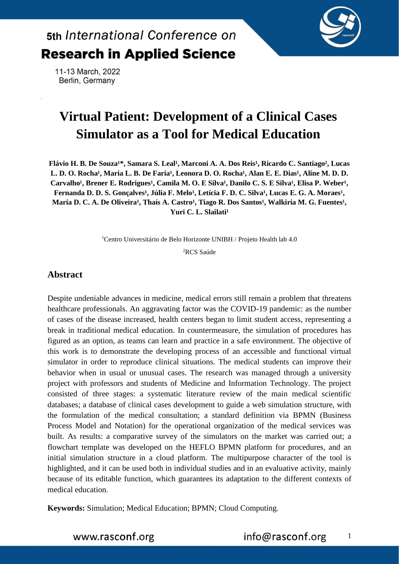

11-13 March, 2022 Berlin, Germany

# **Virtual Patient: Development of a Clinical Cases Simulator as a Tool for Medical Education**

Flávio H. B. De Souza<sup>1\*</sup>, Samara S. Leal<sup>1</sup>, Marconi A. A. Dos Reis<sup>1</sup>, Ricardo C. Santiago<sup>2</sup>, Lucas L. D. O. Rocha<sup>1</sup>, Maria L. B. De Faria<sup>1</sup>, Leonora D. O. Rocha<sup>1</sup>, Alan E. E. Dias<sup>1</sup>, Aline M. D. D. Carvalho<sup>1</sup>, Brener E. Rodrigues<sup>1</sup>, Camila M. O. E Silva<sup>1</sup>, Danilo C. S. E Silva<sup>1</sup>, Elisa P. Weber<sup>1</sup>, Fernanda D. D. S. Gonçalves<sup>1</sup>, Júlia F. Melo<sup>1</sup>, Letícia F. D. C. Silva<sup>1</sup>, Lucas E. G. A. Moraes<sup>1</sup>, Maria D. C. A. De Oliveira<sup>1</sup>, Thaís A. Castro<sup>1</sup>, Tiago R. Dos Santos<sup>1</sup>, Walkiria M. G. Fuentes<sup>1</sup>, Yuri C. L. Slailati<sup>1</sup>

<sup>1</sup>Centro Universitário de Belo Horizonte UNIBH / Projeto Health lab 4.0

<sup>2</sup>RCS Saúde

#### **Abstract**

Despite undeniable advances in medicine, medical errors still remain a problem that threatens healthcare professionals. An aggravating factor was the COVID-19 pandemic: as the number of cases of the disease increased, health centers began to limit student access, representing a break in traditional medical education. In countermeasure, the simulation of procedures has figured as an option, as teams can learn and practice in a safe environment. The objective of this work is to demonstrate the developing process of an accessible and functional virtual simulator in order to reproduce clinical situations. The medical students can improve their behavior when in usual or unusual cases. The research was managed through a university project with professors and students of Medicine and Information Technology. The project consisted of three stages: a systematic literature review of the main medical scientific databases; a database of clinical cases development to guide a web simulation structure, with the formulation of the medical consultation; a standard definition via BPMN (Business Process Model and Notation) for the operational organization of the medical services was built. As results: a comparative survey of the simulators on the market was carried out; a flowchart template was developed on the HEFLO BPMN platform for procedures, and an initial simulation structure in a cloud platform. The multipurpose character of the tool is highlighted, and it can be used both in individual studies and in an evaluative activity, mainly because of its editable function, which guarantees its adaptation to the different contexts of medical education.

**Keywords:** Simulation; Medical Education; BPMN; Cloud Computing.

1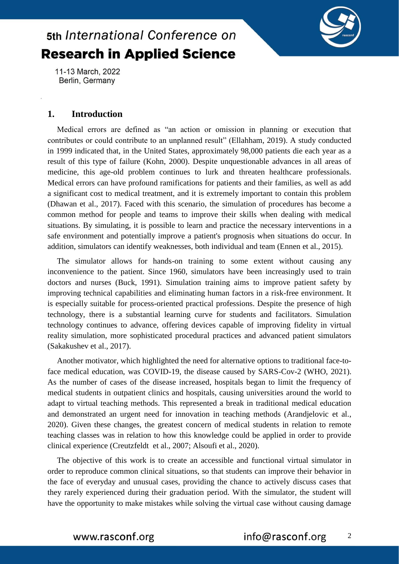

11-13 March, 2022 Berlin, Germany

### **1. Introduction**

Medical errors are defined as "an action or omission in planning or execution that contributes or could contribute to an unplanned result" (Ellahham, 2019). A study conducted in 1999 indicated that, in the United States, approximately 98,000 patients die each year as a result of this type of failure (Kohn, 2000). Despite unquestionable advances in all areas of medicine, this age-old problem continues to lurk and threaten healthcare professionals. Medical errors can have profound ramifications for patients and their families, as well as add a significant cost to medical treatment, and it is extremely important to contain this problem (Dhawan et al., 2017). Faced with this scenario, the simulation of procedures has become a common method for people and teams to improve their skills when dealing with medical situations. By simulating, it is possible to learn and practice the necessary interventions in a safe environment and potentially improve a patient's prognosis when situations do occur. In addition, simulators can identify weaknesses, both individual and team (Ennen et al., 2015).

The simulator allows for hands-on training to some extent without causing any inconvenience to the patient. Since 1960, simulators have been increasingly used to train doctors and nurses (Buck, 1991). Simulation training aims to improve patient safety by improving technical capabilities and eliminating human factors in a risk-free environment. It is especially suitable for process-oriented practical professions. Despite the presence of high technology, there is a substantial learning curve for students and facilitators. Simulation technology continues to advance, offering devices capable of improving fidelity in virtual reality simulation, more sophisticated procedural practices and advanced patient simulators (Sakakushev et al., 2017).

Another motivator, which highlighted the need for alternative options to traditional face-toface medical education, was COVID-19, the disease caused by SARS-Cov-2 (WHO, 2021). As the number of cases of the disease increased, hospitals began to limit the frequency of medical students in outpatient clinics and hospitals, causing universities around the world to adapt to virtual teaching methods. This represented a break in traditional medical education and demonstrated an urgent need for innovation in teaching methods (Arandjelovic et al., 2020). Given these changes, the greatest concern of medical students in relation to remote teaching classes was in relation to how this knowledge could be applied in order to provide clinical experience (Creutzfeldt et al., 2007; Alsoufi et al., 2020).

The objective of this work is to create an accessible and functional virtual simulator in order to reproduce common clinical situations, so that students can improve their behavior in the face of everyday and unusual cases, providing the chance to actively discuss cases that they rarely experienced during their graduation period. With the simulator, the student will have the opportunity to make mistakes while solving the virtual case without causing damage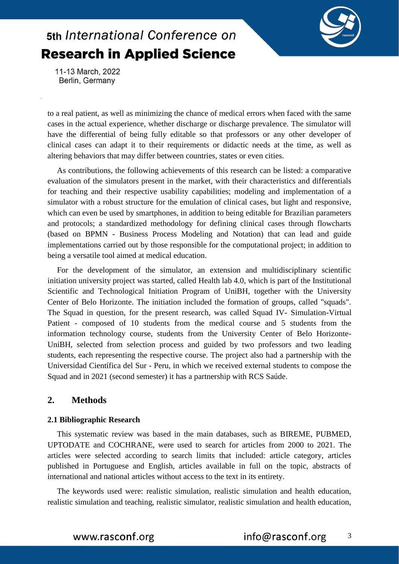

11-13 March, 2022 Berlin, Germany

to a real patient, as well as minimizing the chance of medical errors when faced with the same cases in the actual experience, whether discharge or discharge prevalence. The simulator will have the differential of being fully editable so that professors or any other developer of clinical cases can adapt it to their requirements or didactic needs at the time, as well as altering behaviors that may differ between countries, states or even cities.

As contributions, the following achievements of this research can be listed: a comparative evaluation of the simulators present in the market, with their characteristics and differentials for teaching and their respective usability capabilities; modeling and implementation of a simulator with a robust structure for the emulation of clinical cases, but light and responsive, which can even be used by smartphones, in addition to being editable for Brazilian parameters and protocols; a standardized methodology for defining clinical cases through flowcharts (based on BPMN - Business Process Modeling and Notation) that can lead and guide implementations carried out by those responsible for the computational project; in addition to being a versatile tool aimed at medical education.

For the development of the simulator, an extension and multidisciplinary scientific initiation university project was started, called Health lab 4.0, which is part of the Institutional Scientific and Technological Initiation Program of UniBH, together with the University Center of Belo Horizonte. The initiation included the formation of groups, called "squads". The Squad in question, for the present research, was called Squad IV- Simulation-Virtual Patient - composed of 10 students from the medical course and 5 students from the information technology course, students from the University Center of Belo Horizonte-UniBH, selected from selection process and guided by two professors and two leading students, each representing the respective course. The project also had a partnership with the Universidad Científica del Sur - Peru, in which we received external students to compose the Squad and in 2021 (second semester) it has a partnership with RCS Saúde.

#### **2. Methods**

#### **2.1 Bibliographic Research**

This systematic review was based in the main databases, such as BIREME, PUBMED, UPTODATE and COCHRANE, were used to search for articles from 2000 to 2021. The articles were selected according to search limits that included: article category, articles published in Portuguese and English, articles available in full on the topic, abstracts of international and national articles without access to the text in its entirety.

The keywords used were: realistic simulation, realistic simulation and health education, realistic simulation and teaching, realistic simulator, realistic simulation and health education,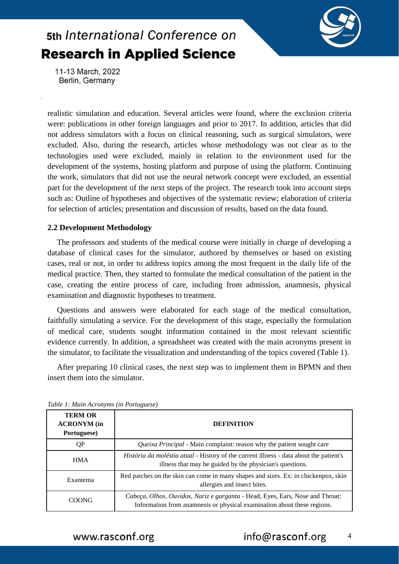

11-13 March, 2022 Berlin, Germany

realistic simulation and education. Several articles were found, where the exclusion criteria were: publications in other foreign languages and prior to 2017. In addition, articles that did not address simulators with a focus on clinical reasoning, such as surgical simulators, were excluded. Also, during the research, articles whose methodology was not clear as to the technologies used were excluded, mainly in relation to the environment used for the development of the systems, hosting platform and purpose of using the platform. Continuing the work, simulators that did not use the neural network concept were excluded, an essential part for the development of the next steps of the project. The research took into account steps such as: Outline of hypotheses and objectives of the systematic review; elaboration of criteria for selection of articles; presentation and discussion of results, based on the data found.

#### **2.2 Development Methodology**

The professors and students of the medical course were initially in charge of developing a database of clinical cases for the simulator, authored by themselves or based on existing cases, real or not, in order to address topics among the most frequent in the daily life of the medical practice. Then, they started to formulate the medical consultation of the patient in the case, creating the entire process of care, including from admission, anamnesis, physical examination and diagnostic hypotheses to treatment.

Questions and answers were elaborated for each stage of the medical consultation, faithfully simulating a service. For the development of this stage, especially the formulation of medical care, students sought information contained in the most relevant scientific evidence currently. In addition, a spreadsheet was created with the main acronyms present in the simulator, to facilitate the visualization and understanding of the topics covered (Table 1).

After preparing 10 clinical cases, the next step was to implement them in BPMN and then insert them into the simulator.

| <b>TERM OR</b><br><b>ACRONYM</b> (in<br>Portuguese) | <b>DEFINITION</b>                                                                                                                                         |  |
|-----------------------------------------------------|-----------------------------------------------------------------------------------------------------------------------------------------------------------|--|
| QP                                                  | Queixa Principal - Main complaint: reason why the patient sought care                                                                                     |  |
| <b>HMA</b>                                          | <i>História da moléstia atual</i> - History of the current illness - data about the patient's<br>illness that may be guided by the physician's questions. |  |
| Exantema                                            | Red patches on the skin can come in many shapes and sizes. Ex: in chickenpox, skin<br>allergies and insect bites.                                         |  |
| COONG                                               | Cabeça, Olhos, Ouvidos, Nariz e garganta - Head, Eyes, Ears, Nose and Throat:<br>Information from anamnesis or physical examination about these regions.  |  |

*Table 1: Main Acronyms (in Portuguese)*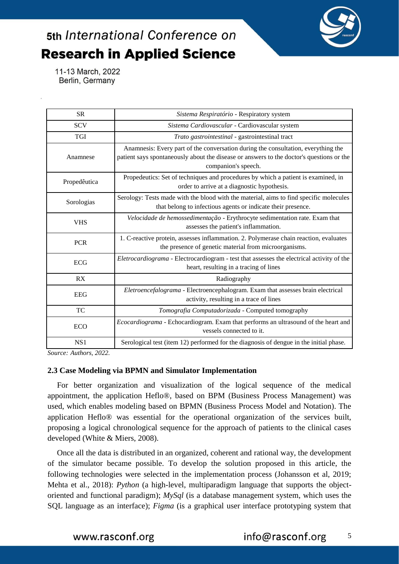

11-13 March, 2022 Berlin, Germany

| <b>SR</b>    | Sistema Respiratório - Respiratory system                                                                                                                                                            |  |  |
|--------------|------------------------------------------------------------------------------------------------------------------------------------------------------------------------------------------------------|--|--|
| <b>SCV</b>   | Sistema Cardiovascular - Cardiovascular system                                                                                                                                                       |  |  |
| <b>TGI</b>   | Trato gastrointestinal - gastrointestinal tract                                                                                                                                                      |  |  |
| Anamnese     | Anamnesis: Every part of the conversation during the consultation, everything the<br>patient says spontaneously about the disease or answers to the doctor's questions or the<br>companion's speech. |  |  |
| Propedêutica | Propedeutics: Set of techniques and procedures by which a patient is examined, in<br>order to arrive at a diagnostic hypothesis.                                                                     |  |  |
| Sorologias   | Serology: Tests made with the blood with the material, aims to find specific molecules<br>that belong to infectious agents or indicate their presence.                                               |  |  |
| <b>VHS</b>   | Velocidade de hemossedimentação - Erythrocyte sedimentation rate. Exam that<br>assesses the patient's inflammation.                                                                                  |  |  |
| <b>PCR</b>   | 1. C-reactive protein, assesses inflammation. 2. Polymerase chain reaction, evaluates<br>the presence of genetic material from microorganisms.                                                       |  |  |
| <b>ECG</b>   | Eletrocardiograma - Electrocardiogram - test that assesses the electrical activity of the<br>heart, resulting in a tracing of lines                                                                  |  |  |
| RX           | Radiography                                                                                                                                                                                          |  |  |
| <b>EEG</b>   | Eletroencefalograma - Electroencephalogram. Exam that assesses brain electrical<br>activity, resulting in a trace of lines                                                                           |  |  |
| <b>TC</b>    | Tomografia Computadorizada - Computed tomography                                                                                                                                                     |  |  |
| <b>ECO</b>   | <i>Ecocardiograma</i> - Echocardiogram. Exam that performs an ultrasound of the heart and<br>vessels connected to it.                                                                                |  |  |
| NS1          | Serological test (item 12) performed for the diagnosis of dengue in the initial phase.                                                                                                               |  |  |

*Source: Authors, 2022.*

#### **2.3 Case Modeling via BPMN and Simulator Implementation**

For better organization and visualization of the logical sequence of the medical appointment, the application Heflo®, based on BPM (Business Process Management) was used, which enables modeling based on BPMN (Business Process Model and Notation). The application Heflo® was essential for the operational organization of the services built, proposing a logical chronological sequence for the approach of patients to the clinical cases developed (White & Miers, 2008).

Once all the data is distributed in an organized, coherent and rational way, the development of the simulator became possible. To develop the solution proposed in this article, the following technologies were selected in the implementation process (Johansson et al, 2019; Mehta et al., 2018): *Python* (a high-level, multiparadigm language that supports the objectoriented and functional paradigm); *MySql* (is a database management system, which uses the SQL language as an interface); *Figma* (is a graphical user interface prototyping system that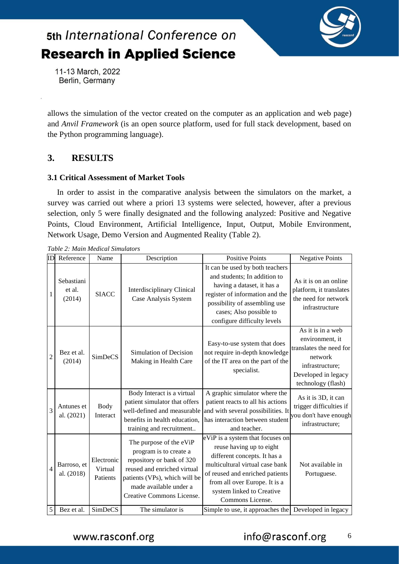

11-13 March, 2022 Berlin, Germany

allows the simulation of the vector created on the computer as an application and web page) and *Anvil Framework* (is an open source platform, used for full stack development, based on the Python programming language).

### **3. RESULTS**

#### **3.1 Critical Assessment of Market Tools**

In order to assist in the comparative analysis between the simulators on the market, a survey was carried out where a priori 13 systems were selected, however, after a previous selection, only 5 were finally designated and the following analyzed: Positive and Negative Points, Cloud Environment, Artificial Intelligence, Input, Output, Mobile Environment, Network Usage, Demo Version and Augmented Reality (Table 2).

| ID             | Reference                      | Name                              | Description                                                                                                                                                                                           | <b>Positive Points</b>                                                                                                                                                                                                                               | <b>Negative Points</b>                                                                                                                     |
|----------------|--------------------------------|-----------------------------------|-------------------------------------------------------------------------------------------------------------------------------------------------------------------------------------------------------|------------------------------------------------------------------------------------------------------------------------------------------------------------------------------------------------------------------------------------------------------|--------------------------------------------------------------------------------------------------------------------------------------------|
| 1              | Sebastiani<br>et al.<br>(2014) | <b>SIACC</b>                      | <b>Interdisciplinary Clinical</b><br>Case Analysis System                                                                                                                                             | It can be used by both teachers<br>and students; In addition to<br>having a dataset, it has a<br>register of information and the<br>possibility of assembling use<br>cases; Also possible to<br>configure difficulty levels                          | As it is on an online<br>platform, it translates<br>the need for network<br>infrastructure                                                 |
| $\overline{c}$ | Bez et al.<br>(2014)           | <b>SimDeCS</b>                    | Simulation of Decision<br>Making in Health Care                                                                                                                                                       | Easy-to-use system that does<br>not require in-depth knowledge<br>of the IT area on the part of the<br>specialist.                                                                                                                                   | As it is in a web<br>environment, it<br>translates the need for<br>network<br>infrastructure;<br>Developed in legacy<br>technology (flash) |
| 3              | Antunes et<br>al. (2021)       | Body<br>Interact                  | Body Interact is a virtual<br>patient simulator that offers<br>well-defined and measurable<br>benefits in health education,<br>training and recruitment                                               | A graphic simulator where the<br>patient reacts to all his actions<br>and with several possibilities. It<br>has interaction between student<br>and teacher.                                                                                          | As it is 3D, it can<br>trigger difficulties if<br>you don't have enough<br>infrastructure;                                                 |
| 4              | Barroso, et<br>al. (2018)      | Electronic<br>Virtual<br>Patients | The purpose of the eViP<br>program is to create a<br>repository or bank of 320<br>reused and enriched virtual<br>patients (VPs), which will be<br>made available under a<br>Creative Commons License. | eViP is a system that focuses on<br>reuse having up to eight<br>different concepts. It has a<br>multicultural virtual case bank<br>of reused and enriched patients<br>from all over Europe. It is a<br>system linked to Creative<br>Commons License. | Not available in<br>Portuguese.                                                                                                            |
| 5              | Bez et al.                     | SimDeCS                           | The simulator is                                                                                                                                                                                      | Simple to use, it approaches the Developed in legacy                                                                                                                                                                                                 |                                                                                                                                            |

*Table 2: Main Medical Simulators*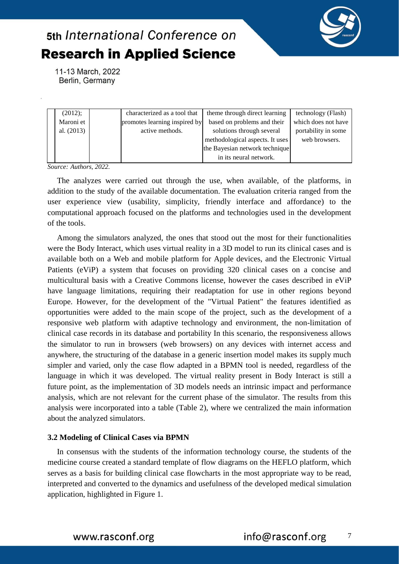

11-13 March, 2022 Berlin, Germany

| (2012);      | characterized as a tool that  | theme through direct learning   | technology (Flash)  |
|--------------|-------------------------------|---------------------------------|---------------------|
| Maroni et    | promotes learning inspired by | based on problems and their     | which does not have |
| al. $(2013)$ | active methods.               | solutions through several       | portability in some |
|              |                               | methodological aspects. It uses | web browsers.       |
|              |                               | the Bayesian network technique  |                     |
|              |                               | in its neural network.          |                     |

*Source: Authors, 2022.*

The analyzes were carried out through the use, when available, of the platforms, in addition to the study of the available documentation. The evaluation criteria ranged from the user experience view (usability, simplicity, friendly interface and affordance) to the computational approach focused on the platforms and technologies used in the development of the tools.

Among the simulators analyzed, the ones that stood out the most for their functionalities were the Body Interact, which uses virtual reality in a 3D model to run its clinical cases and is available both on a Web and mobile platform for Apple devices, and the Electronic Virtual Patients (eViP) a system that focuses on providing 320 clinical cases on a concise and multicultural basis with a Creative Commons license, however the cases described in eViP have language limitations, requiring their readaptation for use in other regions beyond Europe. However, for the development of the "Virtual Patient" the features identified as opportunities were added to the main scope of the project, such as the development of a responsive web platform with adaptive technology and environment, the non-limitation of clinical case records in its database and portability In this scenario, the responsiveness allows the simulator to run in browsers (web browsers) on any devices with internet access and anywhere, the structuring of the database in a generic insertion model makes its supply much simpler and varied, only the case flow adapted in a BPMN tool is needed, regardless of the language in which it was developed. The virtual reality present in Body Interact is still a future point, as the implementation of 3D models needs an intrinsic impact and performance analysis, which are not relevant for the current phase of the simulator. The results from this analysis were incorporated into a table (Table 2), where we centralized the main information about the analyzed simulators.

#### **3.2 Modeling of Clinical Cases via BPMN**

In consensus with the students of the information technology course, the students of the medicine course created a standard template of flow diagrams on the HEFLO platform, which serves as a basis for building clinical case flowcharts in the most appropriate way to be read, interpreted and converted to the dynamics and usefulness of the developed medical simulation application, highlighted in Figure 1.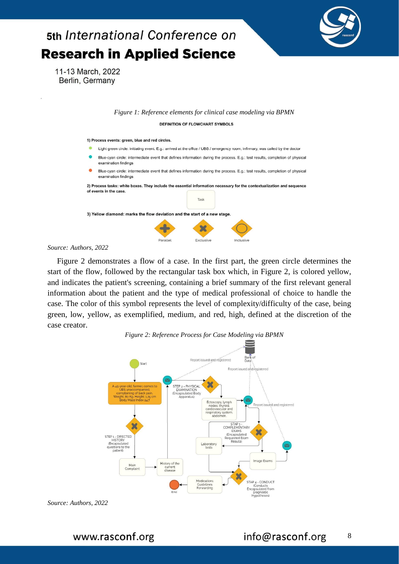

#### *Source: Authors, 2022*

Figure 2 demonstrates a flow of a case. In the first part, the green circle determines the start of the flow, followed by the rectangular task box which, in Figure 2, is colored yellow, and indicates the patient's screening, containing a brief summary of the first relevant general information about the patient and the type of medical professional of choice to handle the case. The color of this symbol represents the level of complexity/difficulty of the case, being green, low, yellow, as exemplified, medium, and red, high, defined at the discretion of the case creator.



*Source: Authors, 2022*

www.rasconf.org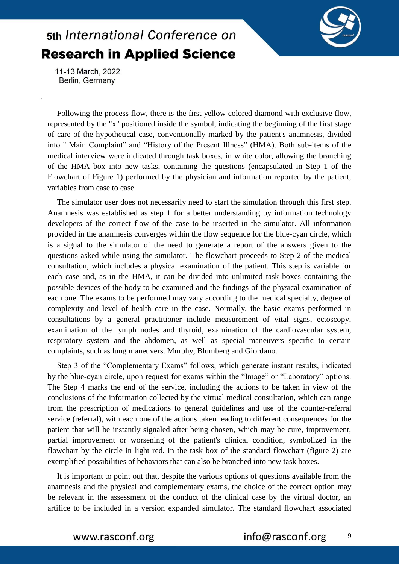

11-13 March, 2022 Berlin, Germany

Following the process flow, there is the first yellow colored diamond with exclusive flow, represented by the "x" positioned inside the symbol, indicating the beginning of the first stage of care of the hypothetical case, conventionally marked by the patient's anamnesis, divided into " Main Complaint" and "History of the Present Illness" (HMA). Both sub-items of the medical interview were indicated through task boxes, in white color, allowing the branching of the HMA box into new tasks, containing the questions (encapsulated in Step 1 of the Flowchart of Figure 1) performed by the physician and information reported by the patient, variables from case to case.

The simulator user does not necessarily need to start the simulation through this first step. Anamnesis was established as step 1 for a better understanding by information technology developers of the correct flow of the case to be inserted in the simulator. All information provided in the anamnesis converges within the flow sequence for the blue-cyan circle, which is a signal to the simulator of the need to generate a report of the answers given to the questions asked while using the simulator. The flowchart proceeds to Step 2 of the medical consultation, which includes a physical examination of the patient. This step is variable for each case and, as in the HMA, it can be divided into unlimited task boxes containing the possible devices of the body to be examined and the findings of the physical examination of each one. The exams to be performed may vary according to the medical specialty, degree of complexity and level of health care in the case. Normally, the basic exams performed in consultations by a general practitioner include measurement of vital signs, ectoscopy, examination of the lymph nodes and thyroid, examination of the cardiovascular system, respiratory system and the abdomen, as well as special maneuvers specific to certain complaints, such as lung maneuvers. Murphy, Blumberg and Giordano.

Step 3 of the "Complementary Exams" follows, which generate instant results, indicated by the blue-cyan circle, upon request for exams within the "Image" or "Laboratory" options. The Step 4 marks the end of the service, including the actions to be taken in view of the conclusions of the information collected by the virtual medical consultation, which can range from the prescription of medications to general guidelines and use of the counter-referral service (referral), with each one of the actions taken leading to different consequences for the patient that will be instantly signaled after being chosen, which may be cure, improvement, partial improvement or worsening of the patient's clinical condition, symbolized in the flowchart by the circle in light red. In the task box of the standard flowchart (figure 2) are exemplified possibilities of behaviors that can also be branched into new task boxes.

It is important to point out that, despite the various options of questions available from the anamnesis and the physical and complementary exams, the choice of the correct option may be relevant in the assessment of the conduct of the clinical case by the virtual doctor, an artifice to be included in a version expanded simulator. The standard flowchart associated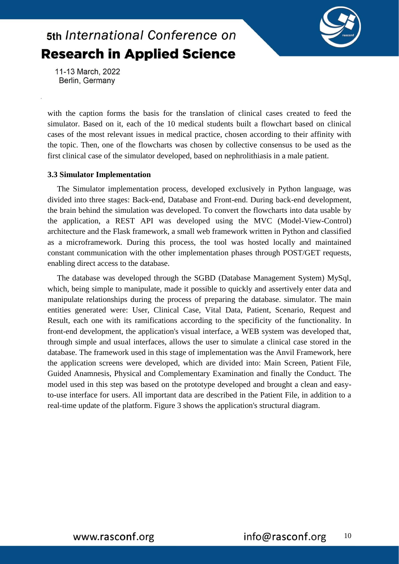

11-13 March, 2022 Berlin, Germany

with the caption forms the basis for the translation of clinical cases created to feed the simulator. Based on it, each of the 10 medical students built a flowchart based on clinical cases of the most relevant issues in medical practice, chosen according to their affinity with the topic. Then, one of the flowcharts was chosen by collective consensus to be used as the first clinical case of the simulator developed, based on nephrolithiasis in a male patient.

#### **3.3 Simulator Implementation**

The Simulator implementation process, developed exclusively in Python language, was divided into three stages: Back-end, Database and Front-end. During back-end development, the brain behind the simulation was developed. To convert the flowcharts into data usable by the application, a REST API was developed using the MVC (Model-View-Control) architecture and the Flask framework, a small web framework written in Python and classified as a microframework. During this process, the tool was hosted locally and maintained constant communication with the other implementation phases through POST/GET requests, enabling direct access to the database.

The database was developed through the SGBD (Database Management System) MySql, which, being simple to manipulate, made it possible to quickly and assertively enter data and manipulate relationships during the process of preparing the database. simulator. The main entities generated were: User, Clinical Case, Vital Data, Patient, Scenario, Request and Result, each one with its ramifications according to the specificity of the functionality. In front-end development, the application's visual interface, a WEB system was developed that, through simple and usual interfaces, allows the user to simulate a clinical case stored in the database. The framework used in this stage of implementation was the Anvil Framework, here the application screens were developed, which are divided into: Main Screen, Patient File, Guided Anamnesis, Physical and Complementary Examination and finally the Conduct. The model used in this step was based on the prototype developed and brought a clean and easyto-use interface for users. All important data are described in the Patient File, in addition to a real-time update of the platform. Figure 3 shows the application's structural diagram.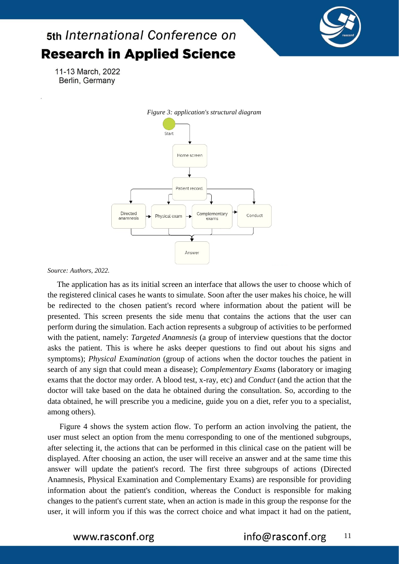

11-13 March, 2022 Berlin, Germany



#### *Source: Authors, 2022.*

The application has as its initial screen an interface that allows the user to choose which of the registered clinical cases he wants to simulate. Soon after the user makes his choice, he will be redirected to the chosen patient's record where information about the patient will be presented. This screen presents the side menu that contains the actions that the user can perform during the simulation. Each action represents a subgroup of activities to be performed with the patient, namely: *Targeted Anamnesis* (a group of interview questions that the doctor asks the patient. This is where he asks deeper questions to find out about his signs and symptoms); *Physical Examination* (group of actions when the doctor touches the patient in search of any sign that could mean a disease); *Complementary Exams* (laboratory or imaging exams that the doctor may order. A blood test, x-ray, etc) and *Conduct* (and the action that the doctor will take based on the data he obtained during the consultation. So, according to the data obtained, he will prescribe you a medicine, guide you on a diet, refer you to a specialist, among others).

Figure 4 shows the system action flow. To perform an action involving the patient, the user must select an option from the menu corresponding to one of the mentioned subgroups, after selecting it, the actions that can be performed in this clinical case on the patient will be displayed. After choosing an action, the user will receive an answer and at the same time this answer will update the patient's record. The first three subgroups of actions (Directed Anamnesis, Physical Examination and Complementary Exams) are responsible for providing information about the patient's condition, whereas the Conduct is responsible for making changes to the patient's current state, when an action is made in this group the response for the user, it will inform you if this was the correct choice and what impact it had on the patient,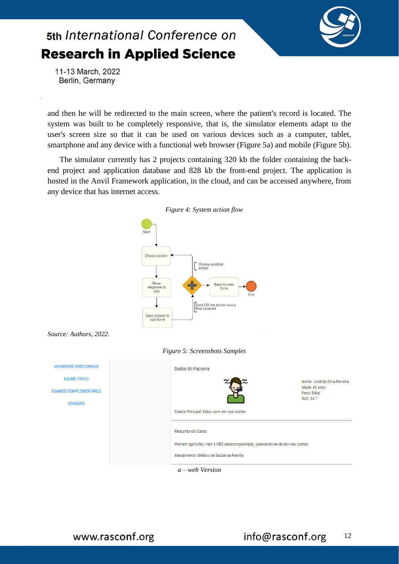

11-13 March, 2022 Berlin, Germany

and then he will be redirected to the main screen, where the patient's record is located. The system was built to be completely responsive, that is, the simulator elements adapt to the user's screen size so that it can be used on various devices such as a computer, tablet, smartphone and any device with a functional web browser (Figure 5a) and mobile (Figure 5b).

The simulator currently has 2 projects containing 320 kb the folder containing the backend project and application database and 828 kb the front-end project. The application is hosted in the Anvil Framework application, in the cloud, and can be accessed anywhere, from any device that has internet access.

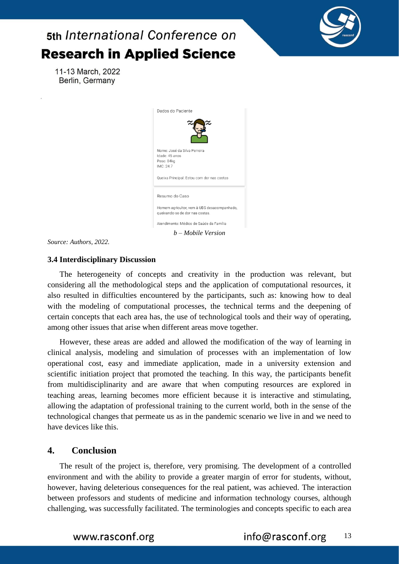



*Source: Authors, 2022.*

#### **3.4 Interdisciplinary Discussion**

The heterogeneity of concepts and creativity in the production was relevant, but considering all the methodological steps and the application of computational resources, it also resulted in difficulties encountered by the participants, such as: knowing how to deal with the modeling of computational processes, the technical terms and the deepening of certain concepts that each area has, the use of technological tools and their way of operating, among other issues that arise when different areas move together.

However, these areas are added and allowed the modification of the way of learning in clinical analysis, modeling and simulation of processes with an implementation of low operational cost, easy and immediate application, made in a university extension and scientific initiation project that promoted the teaching. In this way, the participants benefit from multidisciplinarity and are aware that when computing resources are explored in teaching areas, learning becomes more efficient because it is interactive and stimulating, allowing the adaptation of professional training to the current world, both in the sense of the technological changes that permeate us as in the pandemic scenario we live in and we need to have devices like this.

### **4. Conclusion**

The result of the project is, therefore, very promising. The development of a controlled environment and with the ability to provide a greater margin of error for students, without, however, having deleterious consequences for the real patient, was achieved. The interaction between professors and students of medicine and information technology courses, although challenging, was successfully facilitated. The terminologies and concepts specific to each area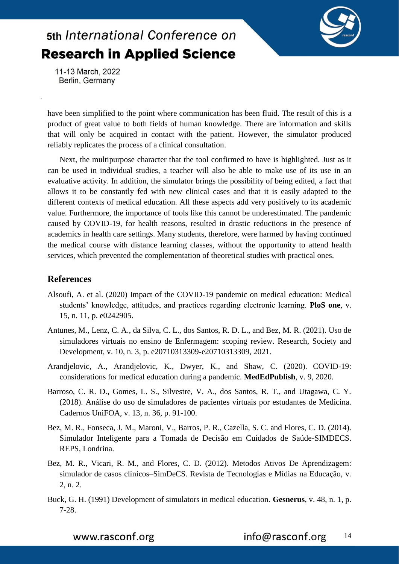

11-13 March, 2022 Berlin, Germany

have been simplified to the point where communication has been fluid. The result of this is a product of great value to both fields of human knowledge. There are information and skills that will only be acquired in contact with the patient. However, the simulator produced reliably replicates the process of a clinical consultation.

Next, the multipurpose character that the tool confirmed to have is highlighted. Just as it can be used in individual studies, a teacher will also be able to make use of its use in an evaluative activity. In addition, the simulator brings the possibility of being edited, a fact that allows it to be constantly fed with new clinical cases and that it is easily adapted to the different contexts of medical education. All these aspects add very positively to its academic value. Furthermore, the importance of tools like this cannot be underestimated. The pandemic caused by COVID-19, for health reasons, resulted in drastic reductions in the presence of academics in health care settings. Many students, therefore, were harmed by having continued the medical course with distance learning classes, without the opportunity to attend health services, which prevented the complementation of theoretical studies with practical ones.

### **References**

- Alsoufi, A. et al. (2020) Impact of the COVID-19 pandemic on medical education: Medical students' knowledge, attitudes, and practices regarding electronic learning. **PloS one**, v. 15, n. 11, p. e0242905.
- Antunes, M., Lenz, C. A., da Silva, C. L., dos Santos, R. D. L., and Bez, M. R. (2021). Uso de simuladores virtuais no ensino de Enfermagem: scoping review. Research, Society and Development, v. 10, n. 3, p. e20710313309-e20710313309, 2021.
- Arandjelovic, A., Arandjelovic, K., Dwyer, K., and Shaw, C. (2020). COVID-19: considerations for medical education during a pandemic. **MedEdPublish**, v. 9, 2020.
- Barroso, C. R. D., Gomes, L. S., Silvestre, V. A., dos Santos, R. T., and Utagawa, C. Y. (2018). Análise do uso de simuladores de pacientes virtuais por estudantes de Medicina. Cadernos UniFOA, v. 13, n. 36, p. 91-100.
- Bez, M. R., Fonseca, J. M., Maroni, V., Barros, P. R., Cazella, S. C. and Flores, C. D. (2014). Simulador Inteligente para a Tomada de Decisão em Cuidados de Saúde-SIMDECS. REPS, Londrina.
- Bez, M. R., Vicari, R. M., and Flores, C. D. (2012). Metodos Ativos De Aprendizagem: simulador de casos clínicos–SimDeCS. Revista de Tecnologias e Mídias na Educação, v. 2, n. 2.
- Buck, G. H. (1991) Development of simulators in medical education. **Gesnerus**, v. 48, n. 1, p. 7-28.